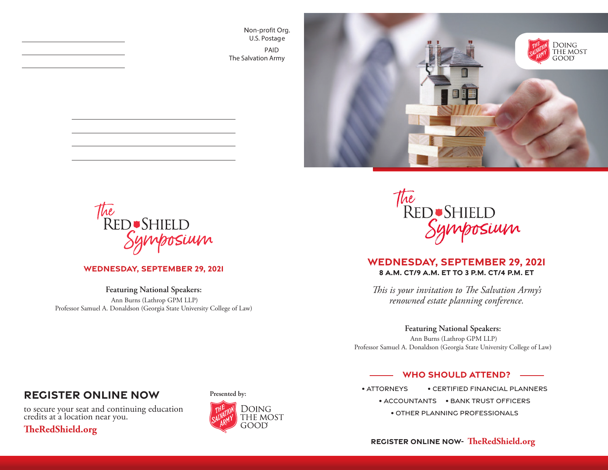Non-profit Org. U.S. Postage PAID The Salvation Army





#### **Wednesday, September 29, 2021**

**Featuring National Speakers:** Ann Burns (Lathrop GPM LLP) Professor Samuel A. Donaldson (Georgia State University College of Law)



### **WEDNEsday, September 29, 2021 8 a.m. CT/9 a.m. ET to 3 p.m. CT/4 p.m. ET**

*This is your invitation to The Salvation Army's renowned estate planning conference.*

#### **Featuring National Speakers:**

Ann Burns (Lathrop GPM LLP) Professor Samuel A. Donaldson (Georgia State University College of Law**)**

#### **WHO SHOULD ATTEND?**

• Attorneys • Certified Financial Planners • Accountants • Bank Trust Officers • Other Planning Professionals

## **Register Online Now**

to secure your seat and continuing education credits at a location near you.

### **TheRedShield.org**



**Presented by:**

### **Register Online Now- TheRedShield.org**